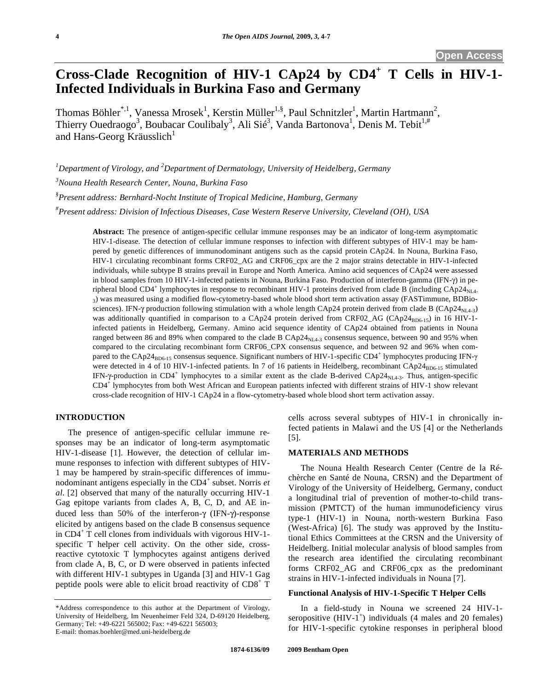# **Cross-Clade Recognition of HIV-1 CAp24 by CD4<sup>+</sup> T Cells in HIV-1- Infected Individuals in Burkina Faso and Germany**

Thomas Böhler\*,<sup>1</sup>, Vanessa Mrosek<sup>1</sup>, Kerstin Müller<sup>1,§</sup>, Paul Schnitzler<sup>1</sup>, Martin Hartmann<sup>2</sup>, Thierry Ouedraogo<sup>3</sup>, Boubacar Coulibaly<sup>3</sup>, Ali Sié<sup>3</sup>, Vanda Bartonova<sup>1</sup>, Denis M. Tebit<sup>1,#</sup> and Hans-Georg Kräusslich<sup>1</sup>

*1 Department of Virology, and 2 Department of Dermatology, University of Heidelberg, Germany 3 Nouna Health Research Center, Nouna, Burkina Faso § Present address: Bernhard-Nocht Institute of Tropical Medicine, Hamburg, Germany # Present address: Division of Infectious Diseases, Case Western Reserve University, Cleveland (OH), USA* 

**Abstract:** The presence of antigen-specific cellular immune responses may be an indicator of long-term asymptomatic HIV-1-disease. The detection of cellular immune responses to infection with different subtypes of HIV-1 may be hampered by genetic differences of immunodominant antigens such as the capsid protein CAp24. In Nouna, Burkina Faso, HIV-1 circulating recombinant forms CRF02\_AG and CRF06\_cpx are the 2 major strains detectable in HIV-1-infected individuals, while subtype B strains prevail in Europe and North America. Amino acid sequences of CAp24 were assessed in blood samples from 10 HIV-1-infected patients in Nouna, Burkina Faso. Production of interferon-gamma (IFN- $\gamma$ ) in peripheral blood CD4<sup>+</sup> lymphocytes in response to recombinant HIV-1 proteins derived from clade B (including CAp24<sub>NL4-</sub> 3) was measured using a modified flow-cytometry-based whole blood short term activation assay (FASTimmune, BDBiosciences). IFN- $\gamma$  production following stimulation with a whole length CAp24 protein derived from clade B (CAp24<sub>NL4-3</sub>) was additionally quantified in comparison to a CAp24 protein derived from CRF02\_AG (CAp24 $_{\text{BD6-15}}$ ) in 16 HIV-1infected patients in Heidelberg, Germany. Amino acid sequence identity of CAp24 obtained from patients in Nouna ranged between 86 and 89% when compared to the clade B  $\text{CAP24}_{\text{NI}4-3}$  consensus sequence, between 90 and 95% when compared to the circulating recombinant form CRF06\_CPX consensus sequence, and between 92 and 96% when compared to the CAp24<sub>BD6-15</sub> consensus sequence. Significant numbers of HIV-1-specific CD4<sup>+</sup> lymphocytes producing IFN- $\gamma$ were detected in 4 of 10 HIV-1-infected patients. In 7 of 16 patients in Heidelberg, recombinant CAp24<sub>BD6-15</sub> stimulated IFN- $\gamma$ -production in CD4<sup>+</sup> lymphocytes to a similar extent as the clade B-derived CAp24<sub>NL4-3</sub>. Thus, antigen-specific CD4<sup>+</sup> lymphocytes from both West African and European patients infected with different strains of HIV-1 show relevant cross-clade recognition of HIV-1 CAp24 in a flow-cytometry-based whole blood short term activation assay.

## **INTRODUCTION**

 The presence of antigen-specific cellular immune responses may be an indicator of long-term asymptomatic HIV-1-disease [1]. However, the detection of cellular immune responses to infection with different subtypes of HIV-1 may be hampered by strain-specific differences of immunodominant antigens especially in the CD4<sup>+</sup> subset. Norris *et al*. [2] observed that many of the naturally occurring HIV-1 Gag epitope variants from clades A, B, C, D, and AE induced less than 50% of the interferon- $\gamma$  (IFN- $\gamma$ )-response elicited by antigens based on the clade B consensus sequence in CD4<sup>+</sup> T cell clones from individuals with vigorous HIV-1 specific T helper cell activity. On the other side, crossreactive cytotoxic T lymphocytes against antigens derived from clade A, B, C, or D were observed in patients infected with different HIV-1 subtypes in Uganda [3] and HIV-1 Gag peptide pools were able to elicit broad reactivity of  $CD8^+$  T cells across several subtypes of HIV-1 in chronically infected patients in Malawi and the US [4] or the Netherlands [5].

### **MATERIALS AND METHODS**

The Nouna Health Research Center (Centre de la Réchèrche en Santé de Nouna, CRSN) and the Department of Virology of the University of Heidelberg, Germany, conduct a longitudinal trial of prevention of mother-to-child transmission (PMTCT) of the human immunodeficiency virus type-1 (HIV-1) in Nouna, north-western Burkina Faso (West-Africa) [6]. The study was approved by the Institutional Ethics Committees at the CRSN and the University of Heidelberg. Initial molecular analysis of blood samples from the research area identified the circulating recombinant forms CRF02\_AG and CRF06\_cpx as the predominant strains in HIV-1-infected individuals in Nouna [7].

#### **Functional Analysis of HIV-1-Specific T Helper Cells**

 In a field-study in Nouna we screened 24 HIV-1 seropositive  $(HIV-1^+)$  individuals (4 males and 20 females) for HIV-1-specific cytokine responses in peripheral blood

<sup>\*</sup>Address correspondence to this author at the Department of Virology, University of Heidelberg, Im Neuenheimer Feld 324, D-69120 Heidelberg, Germany; Tel: +49-6221 565002; Fax: +49-6221 565003; E-mail: thomas.boehler@med.uni-heidelberg.de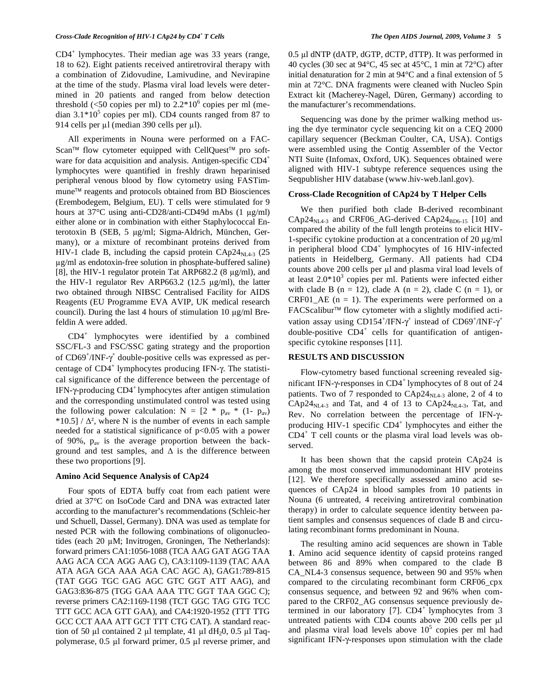CD4<sup>+</sup> lymphocytes. Their median age was 33 years (range, 18 to 62). Eight patients received antiretroviral therapy with a combination of Zidovudine, Lamivudine, and Nevirapine at the time of the study. Plasma viral load levels were determined in 20 patients and ranged from below detection threshold (<50 copies per ml) to  $2.2*10^6$  copies per ml (median  $3.1*10<sup>5</sup>$  copies per ml). CD4 counts ranged from 87 to 914 cells per  $\mu$ l (median 390 cells per  $\mu$ l).

 All experiments in Nouna were performed on a FAC-Scan<sup>™</sup> flow cytometer equipped with CellQuest<sup>™</sup> pro software for data acquisition and analysis. Antigen-specific CD4<sup>+</sup> lymphocytes were quantified in freshly drawn heparinised peripheral venous blood by flow cytometry using FASTimmune<sup>™</sup> reagents and protocols obtained from BD Biosciences (Erembodegem, Belgium, EU). T cells were stimulated for 9 hours at  $37^{\circ}$ C using anti-CD28/anti-CD49d mAbs  $(1 \text{ ue/ml})$ either alone or in combination with either Staphylococcal Enterotoxin B (SEB, 5 µg/ml; Sigma-Aldrich, München, Germany), or a mixture of recombinant proteins derived from HIV-1 clade B, including the capsid protein  $\text{Cap24}_{\text{NL4-3}}$  (25 g/ml as endotoxin-free solution in phosphate-buffered saline) [8], the HIV-1 regulator protein Tat ARP682.2 (8  $\mu$ g/ml), and the HIV-1 regulator Rev ARP663.2 (12.5  $\mu$ g/ml), the latter two obtained through NIBSC Centralised Facility for AIDS Reagents (EU Programme EVA AVIP, UK medical research council). During the last 4 hours of stimulation 10  $\mu$ g/ml Brefeldin A were added.

 CD4<sup>+</sup> lymphocytes were identified by a combined SSC/FL-3 and FSC/SSC gating strategy and the proportion of  $CD69^+ / INF - \gamma^+$  double-positive cells was expressed as percentage of  $CD4^+$  lymphocytes producing IFN- $\gamma$ . The statistical significance of the difference between the percentage of IFN- $\gamma$ -producing CD4<sup>+</sup> lymphocytes after antigen stimulation and the corresponding unstimulated control was tested using the following power calculation:  $N = [2 * p_{av} * (1-p_{av})$  $*10.5$  /  $\Delta^2$ , where N is the number of events in each sample needed for a statistical significance of p<0.05 with a power of 90%, pav is the average proportion between the background and test samples, and  $\Delta$  is the difference between these two proportions [9].

#### **Amino Acid Sequence Analysis of CAp24**

 Four spots of EDTA buffy coat from each patient were dried at 37°C on IsoCode Card and DNA was extracted later according to the manufacturer's recommendations (Schleic-her und Schuell, Dassel, Germany). DNA was used as template for nested PCR with the following combinations of oligonucleotides (each 20 µM; Invitrogen, Groningen, The Netherlands): forward primers CA1:1056-1088 (TCA AAG GAT AGG TAA AAG ACA CCA AGG AAG C), CA3:1109-1139 (TAC AAA ATA AGA GCA AAA AGA CAC AGC A), GAG1:789-815 (TAT GGG TGC GAG AGC GTC GGT ATT AAG), and GAG3:836-875 (TGG GAA AAA TTC GGT TAA GGC C); reverse primers CA2:1169-1198 (TCT GGC TAG GTG TCC TTT GCC ACA GTT GAA), and CA4:1920-1952 (TTT TTG GCC CCT AAA ATT GCT TTT CTG CAT). A standard reaction of 50  $\mu$ l contained 2  $\mu$ l template, 41  $\mu$ l dH<sub>2</sub>0, 0.5  $\mu$ l Taqpolymerase,  $0.5$  µl forward primer,  $0.5$  µl reverse primer, and 0.5 µl dNTP (dATP, dGTP, dCTP, dTTP). It was performed in 40 cycles (30 sec at 94°C, 45 sec at 45°C, 1 min at 72°C) after initial denaturation for 2 min at 94°C and a final extension of 5 min at 72°C. DNA fragments were cleaned with Nucleo Spin Extract kit (Macherey-Nagel, Düren, Germany) according to the manufacturer's recommendations.

 Sequencing was done by the primer walking method using the dye terminator cycle sequencing kit on a CEQ 2000 capillary sequencer (Beckman Coulter, CA, USA). Contigs were assembled using the Contig Assembler of the Vector NTI Suite (Infomax, Oxford, UK). Sequences obtained were aligned with HIV-1 subtype reference sequences using the Seqpublisher HIV database (www.hiv-web.lanl.gov).

#### **Cross-Clade Recognition of CAp24 by T Helper Cells**

 We then purified both clade B-derived recombinant  $CAP24<sub>NL4-3</sub>$  and CRF06\_AG-derived CAp24<sub>BD6-15</sub> [10] and compared the ability of the full length proteins to elicit HIV-1-specific cytokine production at a concentration of  $20 \mu g/ml$ in peripheral blood CD4<sup>+</sup> lymphocytes of 16 HIV-infected patients in Heidelberg, Germany. All patients had CD4 counts above 200 cells per µl and plasma viral load levels of at least  $2.0*10<sup>3</sup>$  copies per ml. Patients were infected either with clade B (n = 12), clade A (n = 2), clade C (n = 1), or CRF01\_AE  $(n = 1)$ . The experiments were performed on a FACScalibur™ flow cytometer with a slightly modified activation assay using CD154<sup>+</sup>/IFN- $\gamma$ <sup>+</sup> instead of CD69<sup>+</sup>/INF- $\gamma$ <sup>+</sup> double-positive  $CD4^+$  cells for quantification of antigenspecific cytokine responses [11].

#### **RESULTS AND DISCUSSION**

 Flow-cytometry based functional screening revealed significant IFN- $\gamma$ -responses in CD4<sup>+</sup> lymphocytes of 8 out of 24 patients. Two of 7 responded to  $\text{CAP24}_{\text{NL4-3}}$  alone, 2 of 4 to  $CAP24<sub>NL4-3</sub>$  and Tat, and 4 of 13 to  $CAP24<sub>NL4-3</sub>$ , Tat, and Rev. No correlation between the percentage of IFN- $\gamma$ producing HIV-1 specific CD4<sup>+</sup> lymphocytes and either the CD4<sup>+</sup> T cell counts or the plasma viral load levels was observed.

 It has been shown that the capsid protein CAp24 is among the most conserved immunodominant HIV proteins [12]. We therefore specifically assessed amino acid sequences of CAp24 in blood samples from 10 patients in Nouna (6 untreated, 4 receiving antiretroviral combination therapy) in order to calculate sequence identity between patient samples and consensus sequences of clade B and circulating recombinant forms predominant in Nouna.

 The resulting amino acid sequences are shown in Table **1**. Amino acid sequence identity of capsid proteins ranged between 86 and 89% when compared to the clade B CA\_NL4-3 consensus sequence, between 90 and 95% when compared to the circulating recombinant form CRF06\_cpx consensus sequence, and between 92 and 96% when compared to the CRF02\_AG consensus sequence previously determined in our laboratory [7].  $CD4^+$  lymphocytes from 3 untreated patients with CD4 counts above  $200$  cells per  $\mu$ l and plasma viral load levels above  $10^5$  copies per ml had significant IFN- $\gamma$ -responses upon stimulation with the clade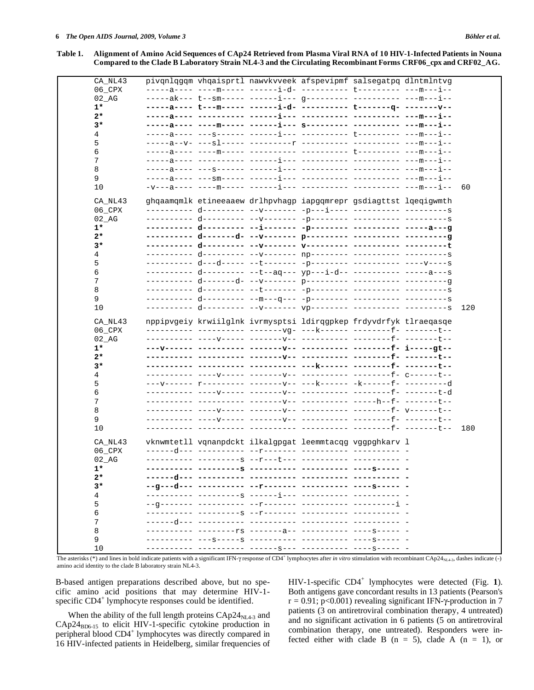**Table 1. Alignment of Amino Acid Sequences of CAp24 Retrieved from Plasma Viral RNA of 10 HIV-1-Infected Patients in Nouna Compared to the Clade B Laboratory Strain NL4-3 and the Circulating Recombinant Forms CRF06\_cpx and CRF02\_AG.** 

| CA_NL43             |  | pivgnlgggm vhgaisprtl nawvkvveek afspevipmf salsegatpg dlntmlntvg |  |     |
|---------------------|--|-------------------------------------------------------------------|--|-----|
| $06$ <sup>CPX</sup> |  |                                                                   |  |     |
| 02 AG               |  |                                                                   |  |     |
| $1*$                |  |                                                                   |  |     |
| $2*$                |  |                                                                   |  |     |
| 3*                  |  |                                                                   |  |     |
| 4                   |  |                                                                   |  |     |
| 5                   |  |                                                                   |  |     |
| 6                   |  |                                                                   |  |     |
| 7                   |  |                                                                   |  |     |
| 8                   |  |                                                                   |  |     |
| 9                   |  |                                                                   |  |     |
| 10                  |  |                                                                   |  | 60  |
|                     |  |                                                                   |  |     |
| CA_NL43             |  | ghqaamqmlk etineeaaew drlhpvhagp iapgqmrepr gsdiagttst lqeqigwmth |  |     |
| 06_CPX              |  |                                                                   |  |     |
| $02$ AG             |  |                                                                   |  |     |
| $1*$                |  |                                                                   |  |     |
| $2*$                |  |                                                                   |  |     |
| $3*$                |  |                                                                   |  |     |
| 4                   |  |                                                                   |  |     |
| 5                   |  |                                                                   |  |     |
| 6                   |  |                                                                   |  |     |
| 7                   |  |                                                                   |  |     |
| 8                   |  |                                                                   |  |     |
| 9                   |  |                                                                   |  |     |
| 10                  |  |                                                                   |  | 120 |
|                     |  |                                                                   |  |     |
| CA NL43             |  | nppipvgeiy krwiilglnk ivrmysptsi ldirqgpkep frdyvdrfyk tlraeqasqe |  |     |
| 06_CPX              |  |                                                                   |  |     |
| $02$ AG             |  |                                                                   |  |     |
| $1*$                |  |                                                                   |  |     |
| $2*$                |  | ----- -------v-- ---------- ---------f- -------t--                |  |     |
| 3*                  |  |                                                                   |  |     |
| 4                   |  |                                                                   |  |     |
| 5                   |  |                                                                   |  |     |
| 6                   |  |                                                                   |  |     |
| 7                   |  |                                                                   |  |     |
| 8                   |  |                                                                   |  |     |
| 9                   |  |                                                                   |  |     |
| 10                  |  |                                                                   |  | 180 |
|                     |  |                                                                   |  |     |
| CA NL43             |  | vknwmtetll vqnanpdckt ilkalgpgat leemmtacqg vggpghkarv l          |  |     |
| 06_CPX              |  |                                                                   |  |     |
| 02 AG               |  |                                                                   |  |     |
| $1*$                |  |                                                                   |  |     |
| $2*$                |  |                                                                   |  |     |
| 3*                  |  |                                                                   |  |     |
| 4                   |  |                                                                   |  |     |
| 5                   |  |                                                                   |  |     |
| 6                   |  |                                                                   |  |     |
| 7                   |  |                                                                   |  |     |
| 8                   |  |                                                                   |  |     |
| 9                   |  |                                                                   |  |     |
| 10                  |  |                                                                   |  |     |
|                     |  |                                                                   |  |     |

The asterisks (\*) and lines in bold indicate patients with a significant IFN- $\gamma$  response of CD4<sup>+</sup> lymphocytes after *in vitro* stimulation with recombinant CAp24<sub>NL4-3</sub>, dashes indicate (-) amino acid identity to the clade B laboratory strain NL4-3.

B-based antigen preparations described above, but no specific amino acid positions that may determine HIV-1 specific  $CD4^+$  lymphocyte responses could be identified.

When the ability of the full length proteins  $\text{CAP24}_{\text{NL4-3}}$  and  $CAp24<sub>BD6-15</sub>$  to elicit HIV-1-specific cytokine production in peripheral blood CD4<sup>+</sup> lymphocytes was directly compared in 16 HIV-infected patients in Heidelberg, similar frequencies of

HIV-1-specific CD4<sup>+</sup> lymphocytes were detected (Fig. **1**). Both antigens gave concordant results in 13 patients (Pearson's  $r = 0.91$ ; p<0.001) revealing significant IFN- $\gamma$ -production in 7 patients (3 on antiretroviral combination therapy, 4 untreated) and no significant activation in 6 patients (5 on antiretroviral combination therapy, one untreated). Responders were infected either with clade B  $(n = 5)$ , clade A  $(n = 1)$ , or